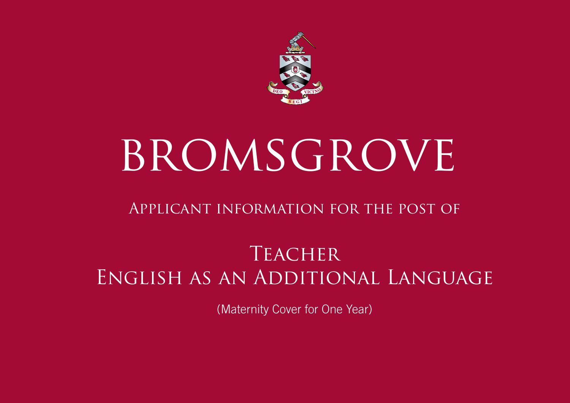

# BROMSGROVE

# Applicant information for the post of

# **TEACHER** English as an Additional Language

(Maternity Cover for One Year)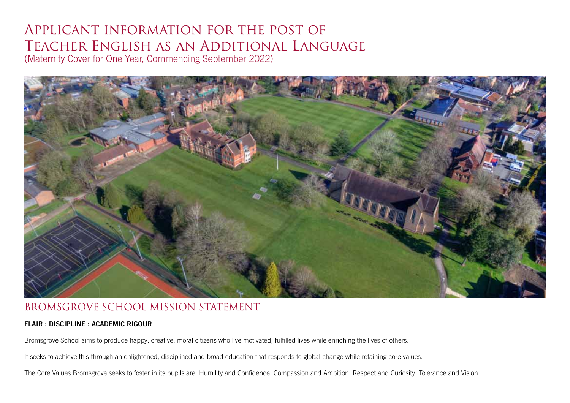## Applicant information for the post of Teacher English as an Additional Language (Maternity Cover for One Year, Commencing September 2022)



#### BROMSGROVE SCHOOL MISSION STATEMENT

#### FLAIR : DISCIPLINE : ACADEMIC RIGOUR

Bromsgrove School aims to produce happy, creative, moral citizens who live motivated, fulfilled lives while enriching the lives of others.

It seeks to achieve this through an enlightened, disciplined and broad education that responds to global change while retaining core values.

The Core Values Bromsgrove seeks to foster in its pupils are: Humility and Confidence; Compassion and Ambition; Respect and Curiosity; Tolerance and Vision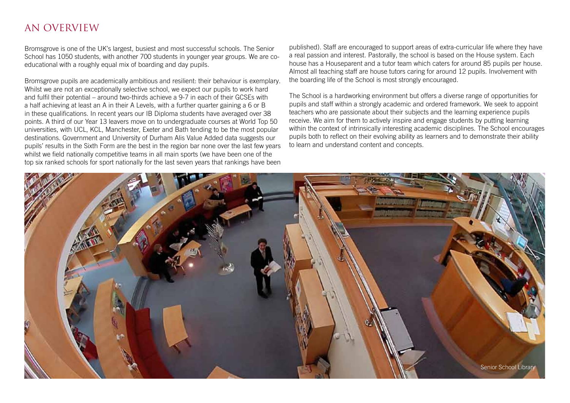#### AN OVERVIEW

Bromsgrove is one of the UK's largest, busiest and most successful schools. The Senior School has 1050 students, with another 700 students in younger year groups. We are coeducational with a roughly equal mix of boarding and day pupils.

Bromsgrove pupils are academically ambitious and resilient: their behaviour is exemplary. Whilst we are not an exceptionally selective school, we expect our pupils to work hard and fulfil their potential – around two-thirds achieve a 9-7 in each of their GCSEs with a half achieving at least an A in their A Levels, with a further quarter gaining a 6 or B in these qualifications. In recent years our IB Diploma students have averaged over 38 points. A third of our Year 13 leavers move on to undergraduate courses at World Top 50 universities, with UCL, KCL, Manchester, Exeter and Bath tending to be the most popular destinations. Government and University of Durham Alis Value Added data suggests our pupils' results in the Sixth Form are the best in the region bar none over the last few years whilst we field nationally competitive teams in all main sports (we have been one of the top six ranked schools for sport nationally for the last seven years that rankings have been

published). Staff are encouraged to support areas of extra-curricular life where they have a real passion and interest. Pastorally, the school is based on the House system. Each house has a Houseparent and a tutor team which caters for around 85 pupils per house. Almost all teaching staff are house tutors caring for around 12 pupils. Involvement with the boarding life of the School is most strongly encouraged.

The School is a hardworking environment but offers a diverse range of opportunities for pupils and staff within a strongly academic and ordered framework. We seek to appoint teachers who are passionate about their subjects and the learning experience pupils receive. We aim for them to actively inspire and engage students by putting learning within the context of intrinsically interesting academic disciplines. The School encourages pupils both to reflect on their evolving ability as learners and to demonstrate their ability to learn and understand content and concepts.

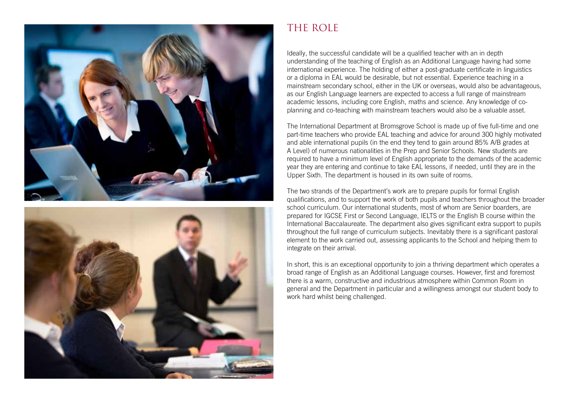



## THE ROLE

Ideally, the successful candidate will be a qualified teacher with an in depth understanding of the teaching of English as an Additional Language having had some international experience. The holding of either a post-graduate certificate in linguistics or a diploma in EAL would be desirable, but not essential. Experience teaching in a mainstream secondary school, either in the UK or overseas, would also be advantageous, as our English Language learners are expected to access a full range of mainstream academic lessons, including core English, maths and science. Any knowledge of coplanning and co-teaching with mainstream teachers would also be a valuable asset.

The International Department at Bromsgrove School is made up of five full-time and one part-time teachers who provide EAL teaching and advice for around 300 highly motivated and able international pupils (in the end they tend to gain around 85% A/B grades at A Level) of numerous nationalities in the Prep and Senior Schools. New students are required to have a minimum level of English appropriate to the demands of the academic year they are entering and continue to take EAL lessons, if needed, until they are in the Upper Sixth. The department is housed in its own suite of rooms.

The two strands of the Department's work are to prepare pupils for formal English qualifications, and to support the work of both pupils and teachers throughout the broader school curriculum. Our international students, most of whom are Senior boarders, are prepared for IGCSE First or Second Language, IELTS or the English B course within the International Baccalaureate. The department also gives significant extra support to pupils throughout the full range of curriculum subjects. Inevitably there is a significant pastoral element to the work carried out, assessing applicants to the School and helping them to integrate on their arrival.

In short, this is an exceptional opportunity to join a thriving department which operates a broad range of English as an Additional Language courses. However, first and foremost there is a warm, constructive and industrious atmosphere within Common Room in general and the Department in particular and a willingness amongst our student body to work hard whilst being challenged.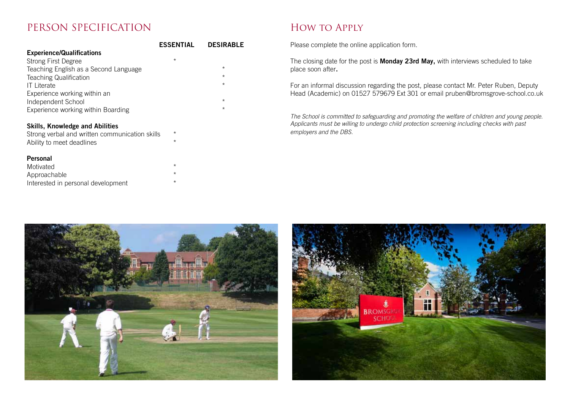#### PERSON SPECIFICATION

|                                       | <b>ESSENTIAL</b> | <b>DESIRABLE</b> |
|---------------------------------------|------------------|------------------|
| <b>Experience/Qualifications</b>      |                  |                  |
| <b>Strong First Degree</b>            | $\star$          |                  |
| Teaching English as a Second Language |                  | $\star$          |
| <b>Teaching Qualification</b>         |                  | $\star$          |
| <b>IT Literate</b>                    |                  | $\star$          |
| Experience working within an          |                  |                  |
| Independent School                    |                  | $\star$          |
| Experience working within Boarding    |                  | $\star$          |

#### Skills, Knowledge and Abilities

| Strong verbal and written communication skills |  |
|------------------------------------------------|--|
| Ability to meet deadlines                      |  |

#### Personal

| Motivated                          | $\star$ |
|------------------------------------|---------|
| Approachable                       | $\star$ |
| Interested in personal development | $\star$ |

### How to Apply

Please complete the online application form.

The closing date for the post is **Monday 23rd May**, with interviews scheduled to take place soon after.

For an informal discussion regarding the post, please contact Mr. Peter Ruben, Deputy Head (Academic) on 01527 579679 Ext 301 or email pruben@bromsgrove-school.co.uk

The School is committed to safeguarding and promoting the welfare of children and young people. Applicants must be willing to undergo child protection screening including checks with past employers and the DBS.